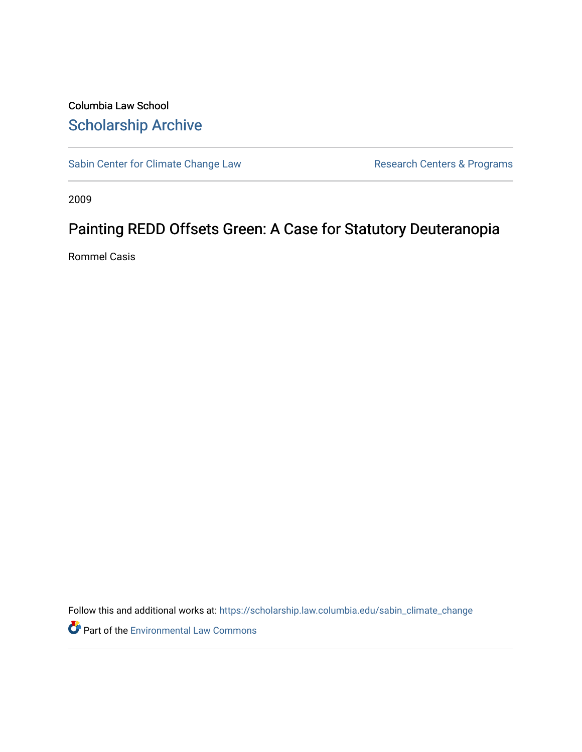Columbia Law School [Scholarship Archive](https://scholarship.law.columbia.edu/) 

[Sabin Center for Climate Change Law](https://scholarship.law.columbia.edu/sabin_climate_change) Research Centers & Programs

2009

# Painting REDD Offsets Green: A Case for Statutory Deuteranopia

Rommel Casis

Follow this and additional works at: [https://scholarship.law.columbia.edu/sabin\\_climate\\_change](https://scholarship.law.columbia.edu/sabin_climate_change?utm_source=scholarship.law.columbia.edu%2Fsabin_climate_change%2F180&utm_medium=PDF&utm_campaign=PDFCoverPages) 

Part of the [Environmental Law Commons](http://network.bepress.com/hgg/discipline/599?utm_source=scholarship.law.columbia.edu%2Fsabin_climate_change%2F180&utm_medium=PDF&utm_campaign=PDFCoverPages)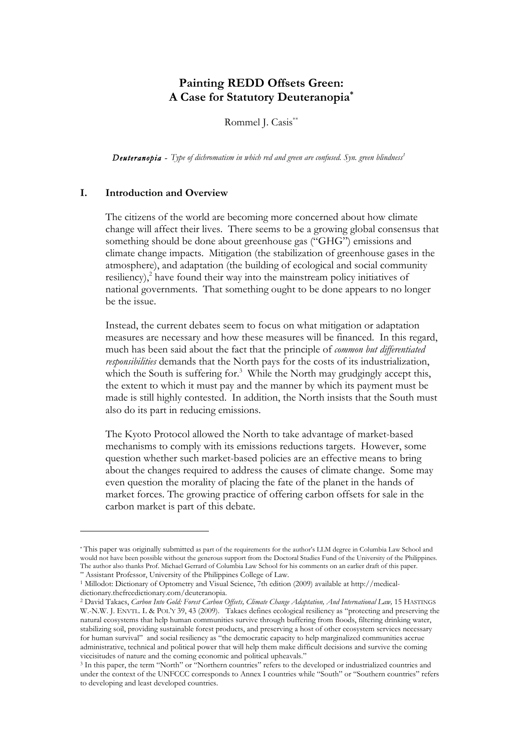## **Painting REDD Offsets Green: A Case for Statutory Deuteranopia\***

Rommel J. Casis<sup>\*\*</sup>

**Deuteranopia -** Type of dichromatism in which red and green are confused. Syn. green blindness<sup>1</sup>

#### **I. Introduction and Overview**

The citizens of the world are becoming more concerned about how climate change will affect their lives. There seems to be a growing global consensus that something should be done about greenhouse gas ("GHG") emissions and climate change impacts. Mitigation (the stabilization of greenhouse gases in the atmosphere), and adaptation (the building of ecological and social community resiliency), 2 have found their way into the mainstream policy initiatives of national governments. That something ought to be done appears to no longer be the issue.

Instead, the current debates seem to focus on what mitigation or adaptation measures are necessary and how these measures will be financed. In this regard, much has been said about the fact that the principle of *common but differentiated responsibilities* demands that the North pays for the costs of its industrialization, which the South is suffering for.<sup>3</sup> While the North may grudgingly accept this, the extent to which it must pay and the manner by which its payment must be made is still highly contested. In addition, the North insists that the South must also do its part in reducing emissions.

The Kyoto Protocol allowed the North to take advantage of market-based mechanisms to comply with its emissions reductions targets. However, some question whether such market-based policies are an effective means to bring about the changes required to address the causes of climate change. Some may even question the morality of placing the fate of the planet in the hands of market forces. The growing practice of offering carbon offsets for sale in the carbon market is part of this debate.

<sup>\*</sup> This paper was originally submitted as part of the requirements for the author's LLM degree in Columbia Law School and would not have been possible without the generous support from the Doctoral Studies Fund of the University of the Philippines. The author also thanks Prof. Michael Gerrard of Columbia Law School for his comments on an earlier draft of this paper.

<sup>&</sup>lt;sup>1</sup> Millodot: Dictionary of Optometry and Visual Science, 7th edition (2009) available at http://medicaldictionary.thefreedictionary.com/deuteranopia.

<sup>2</sup> David Takacs, *Carbon Into Gold: Forest Carbon Offsets, Climate Change Adaptation, And International Law,* 15 HASTINGS W.-N.W. J. ENVTL. L & POL'Y 39, 43 (2009). Takacs defines ecological resiliency as "protecting and preserving the natural ecosystems that help human communities survive through buffering from floods, filtering drinking water, stabilizing soil, providing sustainable forest products, and preserving a host of other ecosystem services necessary for human survival" and social resiliency as "the democratic capacity to help marginalized communities accrue administrative, technical and political power that will help them make difficult decisions and survive the coming viccisitudes of nature and the coming economic and political upheavals."

<sup>3</sup> In this paper, the term "North" or "Northern countries" refers to the developed or industrialized countries and under the context of the UNFCCC corresponds to Annex I countries while "South" or "Southern countries" refers to developing and least developed countries.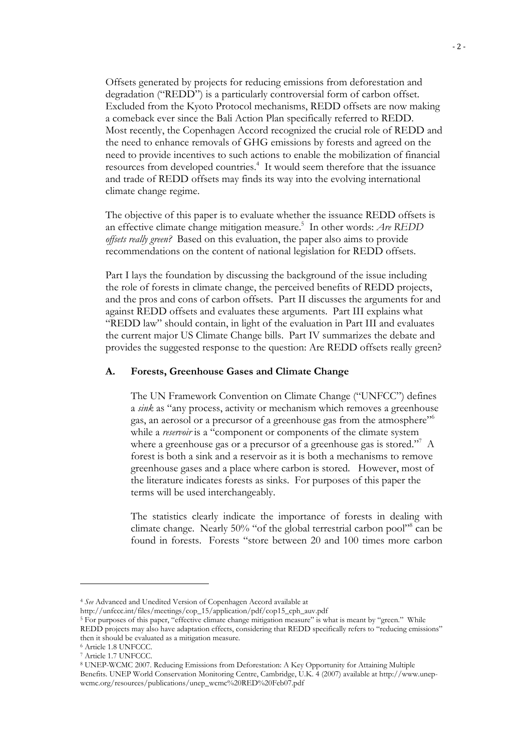Offsets generated by projects for reducing emissions from deforestation and degradation ("REDD") is a particularly controversial form of carbon offset. Excluded from the Kyoto Protocol mechanisms, REDD offsets are now making a comeback ever since the Bali Action Plan specifically referred to REDD. Most recently, the Copenhagen Accord recognized the crucial role of REDD and the need to enhance removals of GHG emissions by forests and agreed on the need to provide incentives to such actions to enable the mobilization of financial resources from developed countries.<sup>4</sup> It would seem therefore that the issuance and trade of REDD offsets may finds its way into the evolving international climate change regime.

The objective of this paper is to evaluate whether the issuance REDD offsets is an effective climate change mitigation measure.5 In other words: *Are REDD offsets really green?* Based on this evaluation, the paper also aims to provide recommendations on the content of national legislation for REDD offsets.

Part I lays the foundation by discussing the background of the issue including the role of forests in climate change, the perceived benefits of REDD projects, and the pros and cons of carbon offsets. Part II discusses the arguments for and against REDD offsets and evaluates these arguments. Part III explains what "REDD law" should contain, in light of the evaluation in Part III and evaluates the current major US Climate Change bills. Part IV summarizes the debate and provides the suggested response to the question: Are REDD offsets really green?

#### **A. Forests, Greenhouse Gases and Climate Change**

The UN Framework Convention on Climate Change ("UNFCC") defines a *sink* as "any process, activity or mechanism which removes a greenhouse gas, an aerosol or a precursor of a greenhouse gas from the atmosphere"6 while a *reservoir* is a "component or components of the climate system where a greenhouse gas or a precursor of a greenhouse gas is stored."<sup>7</sup> A forest is both a sink and a reservoir as it is both a mechanisms to remove greenhouse gases and a place where carbon is stored. However, most of the literature indicates forests as sinks. For purposes of this paper the terms will be used interchangeably.

The statistics clearly indicate the importance of forests in dealing with climate change. Nearly 50% "of the global terrestrial carbon pool"<sup>8</sup> can be found in forests. Forests "store between 20 and 100 times more carbon

5 For purposes of this paper, "effective climate change mitigation measure" is what is meant by "green." While

8 UNEP-WCMC 2007. Reducing Emissions from Deforestation: A Key Opportunity for Attaining Multiple Benefits. UNEP World Conservation Monitoring Centre, Cambridge, U.K. 4 (2007) available at http://www.unepwcmc.org/resources/publications/unep\_wcmc%20RED%20Feb07.pdf

<sup>4</sup> *See* Advanced and Unedited Version of Copenhagen Accord available at

http://unfccc.int/files/meetings/cop\_15/application/pdf/cop15\_cph\_auv.pdf

REDD projects may also have adaptation effects, considering that REDD specifically refers to "reducing emissions" then it should be evaluated as a mitigation measure.

<sup>6</sup> Article 1.8 UNFCCC.

<sup>7</sup> Article 1.7 UNFCCC.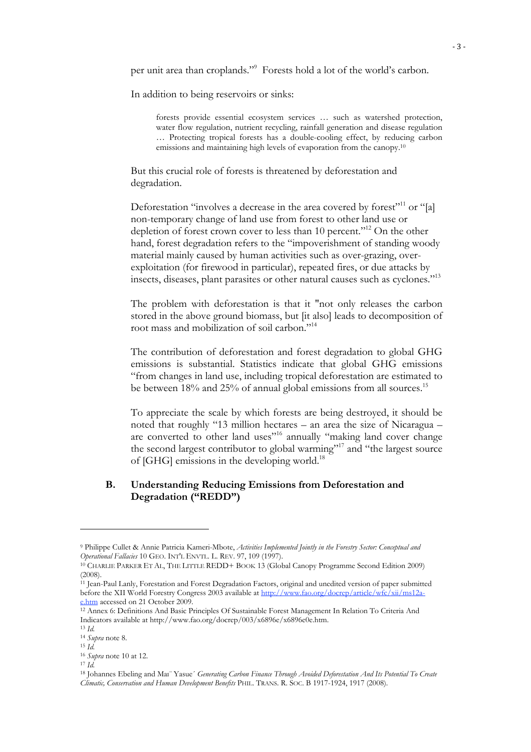per unit area than croplands."<sup>9</sup> Forests hold a lot of the world's carbon.

In addition to being reservoirs or sinks:

forests provide essential ecosystem services … such as watershed protection, water flow regulation, nutrient recycling, rainfall generation and disease regulation … Protecting tropical forests has a double-cooling effect, by reducing carbon emissions and maintaining high levels of evaporation from the canopy.<sup>10</sup>

But this crucial role of forests is threatened by deforestation and degradation.

Deforestation "involves a decrease in the area covered by forest"<sup>11</sup> or "[a] non-temporary change of land use from forest to other land use or depletion of forest crown cover to less than 10 percent."<sup>12</sup> On the other hand, forest degradation refers to the "impoverishment of standing woody material mainly caused by human activities such as over-grazing, overexploitation (for firewood in particular), repeated fires, or due attacks by insects, diseases, plant parasites or other natural causes such as cyclones."13

The problem with deforestation is that it "not only releases the carbon stored in the above ground biomass, but [it also] leads to decomposition of root mass and mobilization of soil carbon."14

The contribution of deforestation and forest degradation to global GHG emissions is substantial. Statistics indicate that global GHG emissions "from changes in land use, including tropical deforestation are estimated to be between 18% and 25% of annual global emissions from all sources.<sup>15</sup>

To appreciate the scale by which forests are being destroyed, it should be noted that roughly "13 million hectares – an area the size of Nicaragua – are converted to other land uses"16 annually "making land cover change the second largest contributor to global warming"<sup>17</sup> and "the largest source of [GHG] emissions in the developing world.<sup>18</sup>

## **B. Understanding Reducing Emissions from Deforestation and Degradation ("REDD")**

<sup>9</sup> Philippe Cullet & Annie Patricia Kameri-Mbote, *Activities Implemented Jointly in the Forestry Sector: Conceptual and Operational Fallacies* 10 GEO. INT'L ENVTL. L. REV. 97, 109 (1997).

<sup>&</sup>lt;sup>10</sup> CHARLIE PARKER ET AL, THE LITTLE REDD+ BOOK 13 (Global Canopy Programme Second Edition 2009) (2008).

<sup>11</sup> Jean-Paul Lanly, Forestation and Forest Degradation Factors, original and unedited version of paper submitted before the XII World Forestry Congress 2003 available at http://www.fao.org/docrep/article/wfc/xii/ms12ae.htm accessed on 21 October 2009.

<sup>&</sup>lt;sup>12</sup> Annex 6: Definitions And Basic Principles Of Sustainable Forest Management In Relation To Criteria And Indicators available at http://www.fao.org/docrep/003/x6896e/x6896e0e.htm.

<sup>13</sup> *Id.*

<sup>14</sup> *Supra* note 8. <sup>15</sup> *Id.*

<sup>16</sup> *Supra* note 10 at 12.

<sup>17</sup> *Id.*

<sup>18</sup> Johannes Ebeling and Maı¨ Yasue´ *Generating Carbon Finance Through Avoided Deforestation And Its Potential To Create Climatic, Conservation and Human Development Benefits* PHIL. TRANS. R. SOC. B 1917-1924, 1917 (2008).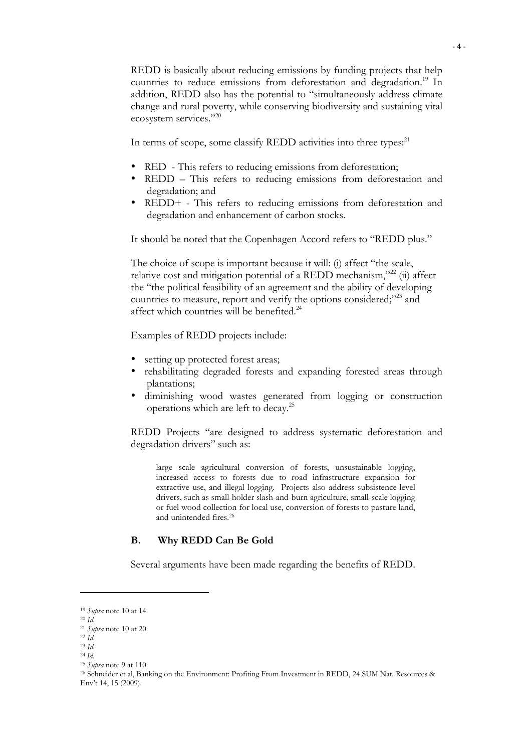REDD is basically about reducing emissions by funding projects that help countries to reduce emissions from deforestation and degradation.<sup>19</sup> In addition, REDD also has the potential to "simultaneously address climate change and rural poverty, while conserving biodiversity and sustaining vital ecosystem services."<sup>20</sup>

In terms of scope, some classify REDD activities into three types:<sup>21</sup>

- RED This refers to reducing emissions from deforestation;
- REDD This refers to reducing emissions from deforestation and degradation; and
- REDD+ This refers to reducing emissions from deforestation and degradation and enhancement of carbon stocks.

It should be noted that the Copenhagen Accord refers to "REDD plus."

The choice of scope is important because it will: (i) affect "the scale, relative cost and mitigation potential of a REDD mechanism,"<sup>22</sup> (ii) affect the "the political feasibility of an agreement and the ability of developing countries to measure, report and verify the options considered;"23 and affect which countries will be benefited.<sup>24</sup>

Examples of REDD projects include:

- setting up protected forest areas;
- rehabilitating degraded forests and expanding forested areas through plantations;
- diminishing wood wastes generated from logging or construction operations which are left to decay.25

REDD Projects "are designed to address systematic deforestation and degradation drivers" such as:

large scale agricultural conversion of forests, unsustainable logging, increased access to forests due to road infrastructure expansion for extractive use, and illegal logging. Projects also address subsistence-level drivers, such as small-holder slash-and-burn agriculture, small-scale logging or fuel wood collection for local use, conversion of forests to pasture land, and unintended fires.26

## **B. Why REDD Can Be Gold**

Several arguments have been made regarding the benefits of REDD.

<sup>25</sup> *Supra* note 9 at 110.

<sup>19</sup> *Supra* note 10 at 14.

<sup>20</sup> *Id.*

<sup>21</sup> *Supra* note 10 at 20.

<sup>22</sup> *Id.*

<sup>23</sup> *Id.*

<sup>24</sup> *Id.*

<sup>26</sup> Schneider et al, Banking on the Environment: Profiting From Investment in REDD, 24 SUM Nat. Resources & Env't 14, 15 (2009).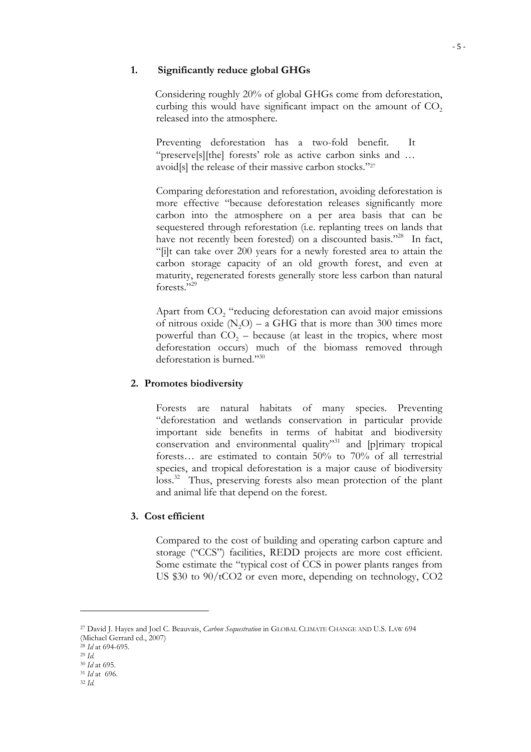#### **1. Significantly reduce global GHGs**

 Considering roughly 20% of global GHGs come from deforestation, curbing this would have significant impact on the amount of  $CO<sub>2</sub>$ released into the atmosphere.

Preventing deforestation has a two-fold benefit. It "preserve[s][the] forests' role as active carbon sinks and … avoid[s] the release of their massive carbon stocks."27

Comparing deforestation and reforestation, avoiding deforestation is more effective "because deforestation releases significantly more carbon into the atmosphere on a per area basis that can be sequestered through reforestation (i.e. replanting trees on lands that have not recently been forested) on a discounted basis."<sup>28</sup> In fact, "[i]t can take over 200 years for a newly forested area to attain the carbon storage capacity of an old growth forest, and even at maturity, regenerated forests generally store less carbon than natural forests."29

Apart from  $CO<sub>2</sub>$  "reducing deforestation can avoid major emissions of nitrous oxide  $(N_2O)$  – a GHG that is more than 300 times more powerful than  $CO<sub>2</sub>$  – because (at least in the tropics, where most deforestation occurs) much of the biomass removed through deforestation is burned."30

## **2. Promotes biodiversity**

Forests are natural habitats of many species. Preventing "deforestation and wetlands conservation in particular provide important side benefits in terms of habitat and biodiversity conservation and environmental quality"<sup>31</sup> and [p]rimary tropical forests… are estimated to contain 50% to 70% of all terrestrial species, and tropical deforestation is a major cause of biodiversity loss.<sup>32</sup> Thus, preserving forests also mean protection of the plant and animal life that depend on the forest.

## **3. Cost efficient**

Compared to the cost of building and operating carbon capture and storage ("CCS") facilities, REDD projects are more cost efficient. Some estimate the "typical cost of CCS in power plants ranges from US \$30 to 90/tCO2 or even more, depending on technology, CO2

<sup>27</sup> David J. Hayes and Joel C. Beauvais, *Carbon Sequestration* in GLOBAL CLIMATE CHANGE AND U.S. LAW 694

<sup>(</sup>Michael Gerrard ed., 2007) <sup>28</sup> *Id* at 694-695.

<sup>29</sup> *Id.*

<sup>30</sup> *Id* at 695.

<sup>31</sup> *Id* at 696.

<sup>32</sup> *Id.*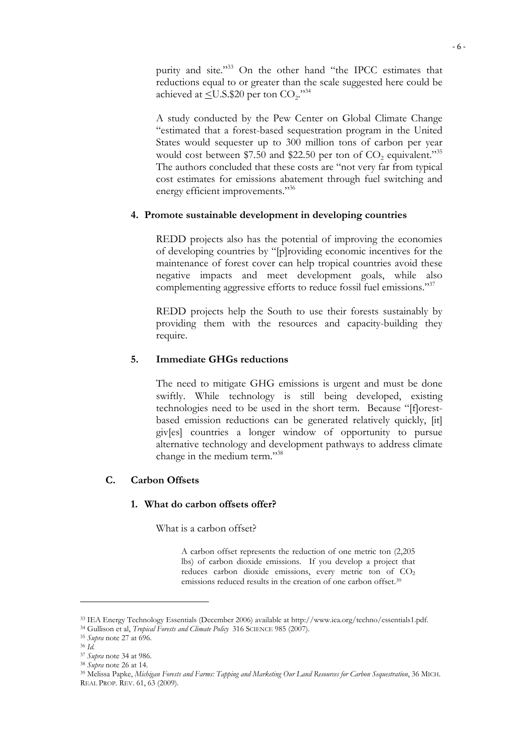purity and site."<sup>33</sup> On the other hand "the IPCC estimates that reductions equal to or greater than the scale suggested here could be achieved at  $\leq U.S.\$20$  per ton  $CO<sub>2</sub>$ .<sup>34</sup>

A study conducted by the Pew Center on Global Climate Change "estimated that a forest-based sequestration program in the United States would sequester up to 300 million tons of carbon per year would cost between \$7.50 and \$22.50 per ton of  $CO<sub>2</sub>$  equivalent."<sup>35</sup> The authors concluded that these costs are "not very far from typical cost estimates for emissions abatement through fuel switching and energy efficient improvements."<sup>36</sup>

## **4. Promote sustainable development in developing countries**

REDD projects also has the potential of improving the economies of developing countries by "[p]roviding economic incentives for the maintenance of forest cover can help tropical countries avoid these negative impacts and meet development goals, while also complementing aggressive efforts to reduce fossil fuel emissions."<sup>37</sup>

REDD projects help the South to use their forests sustainably by providing them with the resources and capacity-building they require.

## **5. Immediate GHGs reductions**

The need to mitigate GHG emissions is urgent and must be done swiftly. While technology is still being developed, existing technologies need to be used in the short term. Because "[f]orestbased emission reductions can be generated relatively quickly, [it] giv[es] countries a longer window of opportunity to pursue alternative technology and development pathways to address climate change in the medium term."38

## **C. Carbon Offsets**

#### **1. What do carbon offsets offer?**

What is a carbon offset?

A carbon offset represents the reduction of one metric ton (2,205 lbs) of carbon dioxide emissions. If you develop a project that reduces carbon dioxide emissions, every metric ton of CO<sub>2</sub> emissions reduced results in the creation of one carbon offset.<sup>39</sup>

<sup>33</sup> IEA Energy Technology Essentials (December 2006) available at http://www.iea.org/techno/essentials1.pdf.

<sup>34</sup> Gullison et al, *Tropical Forests and Climate Policy* 316 SCIENCE 985 (2007). 35 *Supra* note 27 at 696.

<sup>36</sup> *Id.*

<sup>37</sup> *Supra* note 34 at 986. 38 *Supra* note 26 at 14.

<sup>39</sup> Melissa Papke, *Michigan Forests and Farms: Tapping and Marketing Our Land Resources for Carbon Sequestration*, 36 MICH. REAL PROP. REV. 61, 63 (2009).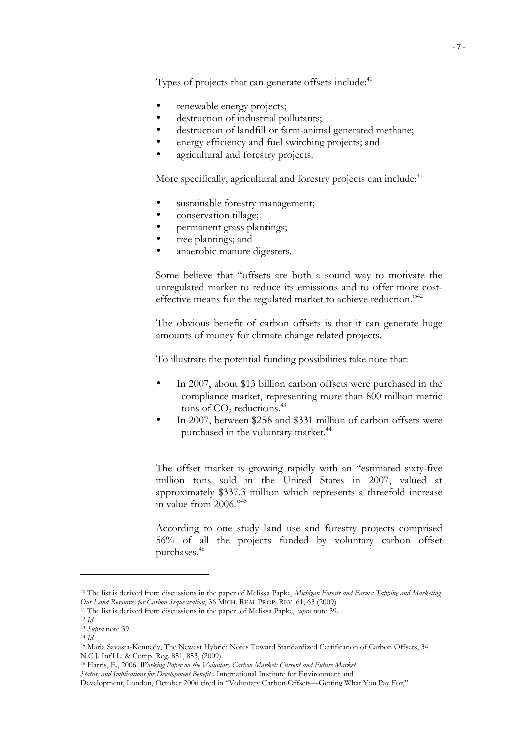Types of projects that can generate offsets include: $40$ 

- renewable energy projects;
- destruction of industrial pollutants;
- destruction of landfill or farm-animal generated methane;
- energy efficiency and fuel switching projects; and
- agricultural and forestry projects.

More specifically, agricultural and forestry projects can include:<sup>41</sup>

- sustainable forestry management;
- conservation tillage;
- permanent grass plantings;
- tree plantings; and
- anaerobic manure digesters.

Some believe that "offsets are both a sound way to motivate the unregulated market to reduce its emissions and to offer more costeffective means for the regulated market to achieve reduction."<sup>42</sup>

The obvious benefit of carbon offsets is that it can generate huge amounts of money for climate change related projects.

To illustrate the potential funding possibilities take note that:

- In 2007, about \$13 billion carbon offsets were purchased in the compliance market, representing more than 800 million metric tons of  $CO<sub>2</sub>$  reductions.<sup>43</sup>
- In 2007, between \$258 and \$331 million of carbon offsets were purchased in the voluntary market.<sup>44</sup>

The offset market is growing rapidly with an "estimated sixty-five million tons sold in the United States in 2007, valued at approximately \$337.3 million which represents a threefold increase in value from 2006."45

According to one study land use and forestry projects comprised 56% of all the projects funded by voluntary carbon offset purchases.46

<sup>40</sup> The list is derived from discussions in the paper of Melissa Papke, *Michigan Forests and Farms: Tapping and Marketing Our Land Resources for Carbon Sequestration*, 36 MICH. REAL PROP. REV. 61, 63 (2009)

<sup>41</sup> The list is derived from discussions in the paper of Melissa Papke, *supra* note 39.

<sup>42</sup> *Id*.

<sup>43</sup> *Supra* note 39.

<sup>44</sup> *Id.*

<sup>45</sup> Maria Savasta-Kennedy, The Newest Hybrid: Notes Toward Standardized Certification of Carbon Offsets, 34 N.C.J. Int'l L. & Comp. Reg. 851, 853, (2009).

<sup>46</sup> Harris, E., 2006. *Working Paper on the Voluntary Carbon Market: Current and Future Market Status, and Implications for Development Benefits*. International Institute for Environment and

Development, London, October 2006 cited in "Voluntary Carbon Offsets—Getting What You Pay For,"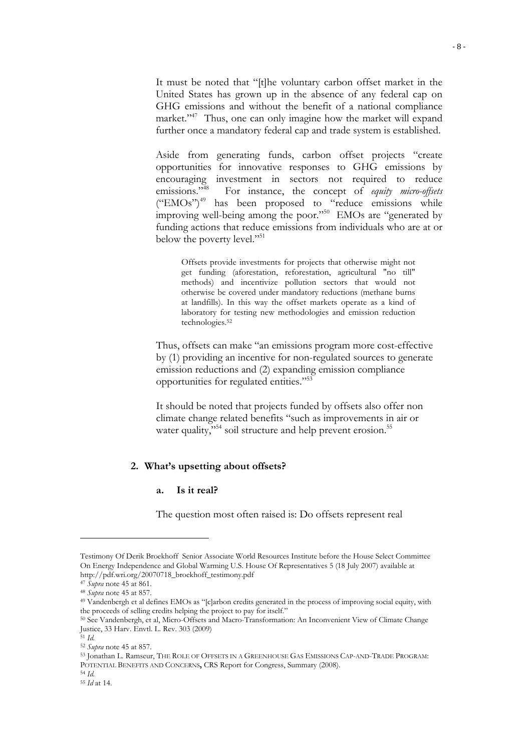It must be noted that "[t]he voluntary carbon offset market in the United States has grown up in the absence of any federal cap on GHG emissions and without the benefit of a national compliance market."<sup>47</sup> Thus, one can only imagine how the market will expand further once a mandatory federal cap and trade system is established.

Aside from generating funds, carbon offset projects "create opportunities for innovative responses to GHG emissions by encouraging investment in sectors not required to reduce emissions."<sup>48</sup> For instance, the concept of *equity micro-offsets* For instance, the concept of *equity micro-offsets* ("EMOs")<sup>49</sup> has been proposed to "reduce emissions while improving well-being among the poor."<sup>50</sup> EMOs are "generated by funding actions that reduce emissions from individuals who are at or below the poverty level."<sup>51</sup>

Offsets provide investments for projects that otherwise might not get funding (aforestation, reforestation, agricultural "no till" methods) and incentivize pollution sectors that would not otherwise be covered under mandatory reductions (methane burns at landfills). In this way the offset markets operate as a kind of laboratory for testing new methodologies and emission reduction technologies.52

Thus, offsets can make "an emissions program more cost-effective by (1) providing an incentive for non-regulated sources to generate emission reductions and (2) expanding emission compliance opportunities for regulated entities."53

It should be noted that projects funded by offsets also offer non climate change related benefits "such as improvements in air or water quality,"<sup>54</sup> soil structure and help prevent erosion.<sup>55</sup>

#### **2. What's upsetting about offsets?**

#### **a. Is it real?**

The question most often raised is: Do offsets represent real

Testimony Of Derik Broekhoff Senior Associate World Resources Institute before the House Select Committee On Energy Independence and Global Warming U.S. House Of Representatives 5 (18 July 2007) available at http://pdf.wri.org/20070718\_broekhoff\_testimony.pdf

<sup>47</sup> *Supra* note 45 at 861.

<sup>48</sup> *Supra* note 45 at 857.

<sup>49</sup> Vandenbergh et al defines EMOs as "[c]arbon credits generated in the process of improving social equity, with the proceeds of selling credits helping the project to pay for itself."

<sup>50</sup> See Vandenbergh, et al, Micro-Offsets and Macro-Transformation: An Inconvenient View of Climate Change Justice, 33 Harv. Envtl. L. Rev. 303 (2009)

<sup>51</sup> *Id.*

<sup>52</sup> *Supra* note 45 at 857.

<sup>53</sup> Jonathan L. Ramseur, THE ROLE OF OFFSETS IN A GREENHOUSE GAS EMISSIONS CAP-AND-TRADE PROGRAM: POTENTIAL BENEFITS AND CONCERNS**,** CRS Report for Congress, Summary (2008).

<sup>54</sup> *Id.*

<sup>55</sup> *Id* at 14.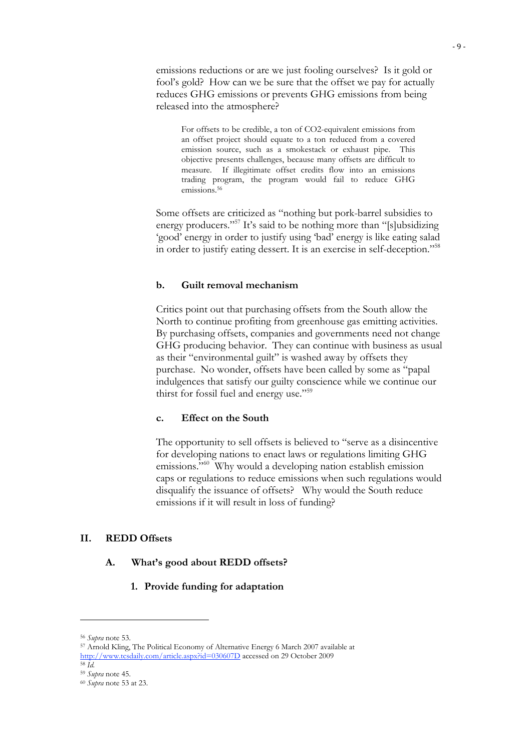emissions reductions or are we just fooling ourselves? Is it gold or fool's gold? How can we be sure that the offset we pay for actually reduces GHG emissions or prevents GHG emissions from being released into the atmosphere?

For offsets to be credible, a ton of CO2-equivalent emissions from an offset project should equate to a ton reduced from a covered emission source, such as a smokestack or exhaust pipe. This objective presents challenges, because many offsets are difficult to measure. If illegitimate offset credits flow into an emissions trading program, the program would fail to reduce GHG emissions.<sup>56</sup>

Some offsets are criticized as "nothing but pork-barrel subsidies to energy producers."<sup>57</sup> It's said to be nothing more than "[s]ubsidizing 'good' energy in order to justify using 'bad' energy is like eating salad in order to justify eating dessert. It is an exercise in self-deception."58

#### **b. Guilt removal mechanism**

Critics point out that purchasing offsets from the South allow the North to continue profiting from greenhouse gas emitting activities. By purchasing offsets, companies and governments need not change GHG producing behavior. They can continue with business as usual as their "environmental guilt" is washed away by offsets they purchase. No wonder, offsets have been called by some as "papal indulgences that satisfy our guilty conscience while we continue our thirst for fossil fuel and energy use."<sup>59</sup>

#### **c. Effect on the South**

The opportunity to sell offsets is believed to "serve as a disincentive for developing nations to enact laws or regulations limiting GHG emissions."<sup>60</sup> Why would a developing nation establish emission caps or regulations to reduce emissions when such regulations would disqualify the issuance of offsets? Why would the South reduce emissions if it will result in loss of funding?

#### **II. REDD Offsets**

#### **A. What's good about REDD offsets?**

#### **1. Provide funding for adaptation**

<sup>56</sup> *Supra* note 53.

<sup>57</sup> Arnold Kling, The Political Economy of Alternative Energy 6 March 2007 available at http://www.tcsdaily.com/article.aspx?id=030607D accessed on 29 October 2009 58 *Id.*

<sup>59</sup> *Supra* note 45.

<sup>60</sup> *Supra* note 53 at 23.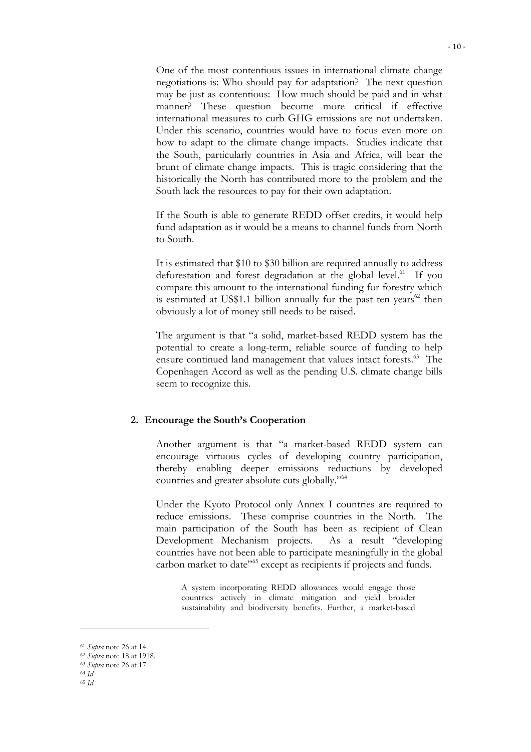One of the most contentious issues in international climate change negotiations is: Who should pay for adaptation? The next question may be just as contentious: How much should be paid and in what manner? These question become more critical if effective international measures to curb GHG emissions are not undertaken. Under this scenario, countries would have to focus even more on how to adapt to the climate change impacts. Studies indicate that the South, particularly countries in Asia and Africa, will bear the brunt of climate change impacts. This is tragic considering that the historically the North has contributed more to the problem and the South lack the resources to pay for their own adaptation.

If the South is able to generate REDD offset credits, it would help fund adaptation as it would be a means to channel funds from North to South.

It is estimated that \$10 to \$30 billion are required annually to address deforestation and forest degradation at the global level.<sup>61</sup> If you compare this amount to the international funding for forestry which is estimated at US\$1.1 billion annually for the past ten years<sup>62</sup> then obviously a lot of money still needs to be raised.

The argument is that "a solid, market-based REDD system has the potential to create a long-term, reliable source of funding to help ensure continued land management that values intact forests.<sup>63</sup> The Copenhagen Accord as well as the pending U.S. climate change bills seem to recognize this.

#### **2. Encourage the South's Cooperation**

Another argument is that "a market-based REDD system can encourage virtuous cycles of developing country participation, thereby enabling deeper emissions reductions by developed countries and greater absolute cuts globally."64

Under the Kyoto Protocol only Annex I countries are required to reduce emissions. These comprise countries in the North. The main participation of the South has been as recipient of Clean Development Mechanism projects. As a result "developing countries have not been able to participate meaningfully in the global carbon market to date<sup>"65</sup> except as recipients if projects and funds.

A system incorporating REDD allowances would engage those countries actively in climate mitigation and yield broader sustainability and biodiversity benefits. Further, a market-based

<sup>61</sup> *Supra* note 26 at 14.

<sup>62</sup> *Supra* note 18 at 1918.

<sup>63</sup> *Supra* note 26 at 17.

<sup>64</sup> *Id*.

<sup>65</sup> *Id*.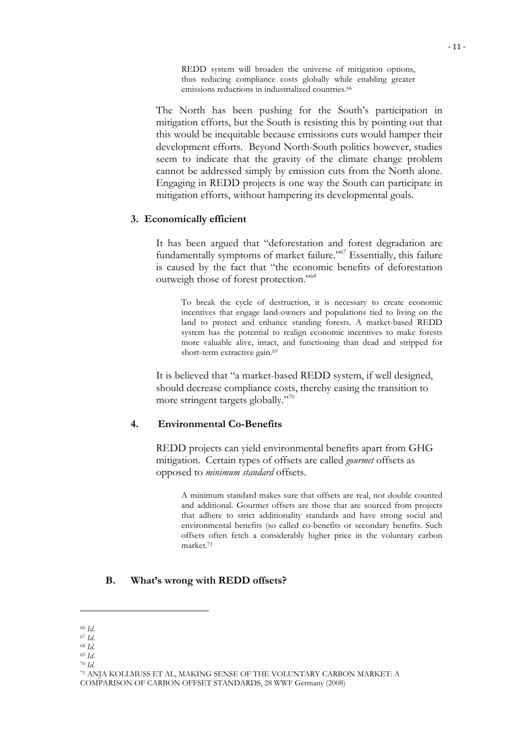REDD system will broaden the universe of mitigation options, thus reducing compliance costs globally while enabling greater emissions reductions in industrialized countries.<sup>66</sup>

The North has been pushing for the South's participation in mitigation efforts, but the South is resisting this by pointing out that this would be inequitable because emissions cuts would hamper their development efforts. Beyond North-South politics however, studies seem to indicate that the gravity of the climate change problem cannot be addressed simply by emission cuts from the North alone. Engaging in REDD projects is one way the South can participate in mitigation efforts, without hampering its developmental goals.

#### **3. Economically efficient**

It has been argued that "deforestation and forest degradation are fundamentally symptoms of market failure."67 Essentially, this failure is caused by the fact that "the economic benefits of deforestation outweigh those of forest protection."68

To break the cycle of destruction, it is necessary to create economic incentives that engage land-owners and populations tied to living on the land to protect and enhance standing forests. A market-based REDD system has the potential to realign economic incentives to make forests more valuable alive, intact, and functioning than dead and stripped for short-term extractive gain.<sup>69</sup>

It is believed that "a market-based REDD system, if well designed, should decrease compliance costs, thereby easing the transition to more stringent targets globally."70

## **4. Environmental Co-Benefits**

REDD projects can yield environmental benefits apart from GHG mitigation. Certain types of offsets are called *gourmet* offsets as opposed to *minimum standard* offsets.

A minimum standard makes sure that offsets are real, not double counted and additional. Gourmet offsets are those that are sourced from projects that adhere to strict additionality standards and have strong social and environmental benefits (so called co-benefits or secondary benefits. Such offsets often fetch a considerably higher price in the voluntary carbon market.71

## **B. What's wrong with REDD offsets?**

<sup>70</sup> *Id*.

<sup>66</sup> *Id*. <sup>67</sup> *Id*.

<sup>68</sup> *Id*.

<sup>69</sup> *Id*.

<sup>71</sup> ANJA KOLLMUSS ET AL, MAKING SENSE OF THE VOLUNTARY CARBON MARKET: A COMPARISON OF CARBON OFFSET STANDARDS, 28 WWF Germany (2008)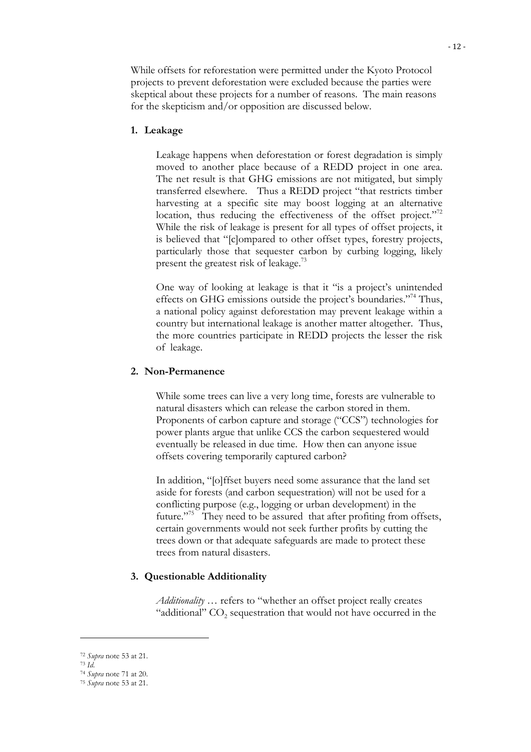While offsets for reforestation were permitted under the Kyoto Protocol projects to prevent deforestation were excluded because the parties were skeptical about these projects for a number of reasons. The main reasons for the skepticism and/or opposition are discussed below.

#### **1. Leakage**

Leakage happens when deforestation or forest degradation is simply moved to another place because of a REDD project in one area. The net result is that GHG emissions are not mitigated, but simply transferred elsewhere. Thus a REDD project "that restricts timber harvesting at a specific site may boost logging at an alternative location, thus reducing the effectiveness of the offset project."<sup>72</sup> While the risk of leakage is present for all types of offset projects, it is believed that "[c]ompared to other offset types, forestry projects, particularly those that sequester carbon by curbing logging, likely present the greatest risk of leakage.<sup>73</sup>

One way of looking at leakage is that it "is a project's unintended effects on GHG emissions outside the project's boundaries."74 Thus, a national policy against deforestation may prevent leakage within a country but international leakage is another matter altogether. Thus, the more countries participate in REDD projects the lesser the risk of leakage.

#### **2. Non-Permanence**

While some trees can live a very long time, forests are vulnerable to natural disasters which can release the carbon stored in them. Proponents of carbon capture and storage ("CCS") technologies for power plants argue that unlike CCS the carbon sequestered would eventually be released in due time. How then can anyone issue offsets covering temporarily captured carbon?

In addition, "[o]ffset buyers need some assurance that the land set aside for forests (and carbon sequestration) will not be used for a conflicting purpose (e.g., logging or urban development) in the future."75 They need to be assured that after profiting from offsets, certain governments would not seek further profits by cutting the trees down or that adequate safeguards are made to protect these trees from natural disasters.

#### **3. Questionable Additionality**

*Additionality …* refers to "whether an offset project really creates "additional"  $CO<sub>2</sub>$  sequestration that would not have occurred in the

<sup>73</sup> *Id*.

<sup>72</sup> *Supra* note 53 at 21.

<sup>74</sup> *Supra* note 71 at 20.

<sup>75</sup> *Supra* note 53 at 21.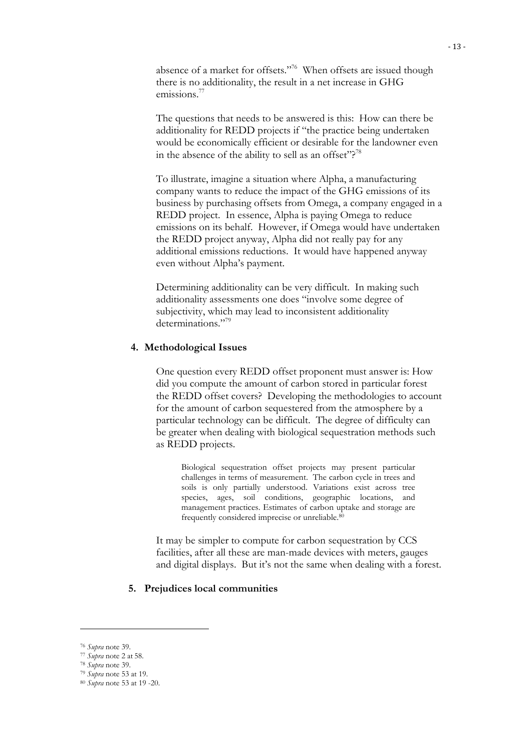absence of a market for offsets."<sup>76</sup> When offsets are issued though there is no additionality, the result in a net increase in GHG emissions.<sup>77</sup>

The questions that needs to be answered is this: How can there be additionality for REDD projects if "the practice being undertaken would be economically efficient or desirable for the landowner even in the absence of the ability to sell as an offset"?<sup>78</sup>

To illustrate, imagine a situation where Alpha, a manufacturing company wants to reduce the impact of the GHG emissions of its business by purchasing offsets from Omega, a company engaged in a REDD project. In essence, Alpha is paying Omega to reduce emissions on its behalf. However, if Omega would have undertaken the REDD project anyway, Alpha did not really pay for any additional emissions reductions. It would have happened anyway even without Alpha's payment.

Determining additionality can be very difficult. In making such additionality assessments one does "involve some degree of subjectivity, which may lead to inconsistent additionality determinations."<sup>79</sup>

#### **4. Methodological Issues**

One question every REDD offset proponent must answer is: How did you compute the amount of carbon stored in particular forest the REDD offset covers? Developing the methodologies to account for the amount of carbon sequestered from the atmosphere by a particular technology can be difficult. The degree of difficulty can be greater when dealing with biological sequestration methods such as REDD projects.

Biological sequestration offset projects may present particular challenges in terms of measurement. The carbon cycle in trees and soils is only partially understood. Variations exist across tree species, ages, soil conditions, geographic locations, and management practices. Estimates of carbon uptake and storage are frequently considered imprecise or unreliable.80

It may be simpler to compute for carbon sequestration by CCS facilities, after all these are man-made devices with meters, gauges and digital displays. But it's not the same when dealing with a forest.

#### **5. Prejudices local communities**

<sup>76</sup> *Supra* note 39.

<sup>77</sup> *Supra* note 2 at 58. 78 *Supra* note 39.

<sup>79</sup> *Supra* note 53 at 19.

<sup>80</sup> *Supra* note 53 at 19 -20.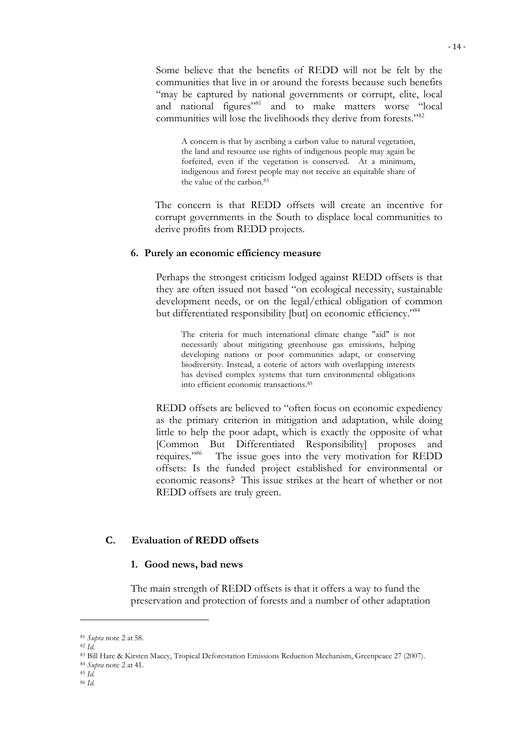Some believe that the benefits of REDD will not be felt by the communities that live in or around the forests because such benefits "may be captured by national governments or corrupt, elite, local and national figures"<sup>81</sup> and to make matters worse "local communities will lose the livelihoods they derive from forests."<sup>82</sup>

A concern is that by ascribing a carbon value to natural vegetation, the land and resource use rights of indigenous people may again be forfeited, even if the vegetation is conserved. At a minimum, indigenous and forest people may not receive an equitable share of the value of the carbon.83

The concern is that REDD offsets will create an incentive for corrupt governments in the South to displace local communities to derive profits from REDD projects.

#### **6. Purely an economic efficiency measure**

Perhaps the strongest criticism lodged against REDD offsets is that they are often issued not based "on ecological necessity, sustainable development needs, or on the legal/ethical obligation of common but differentiated responsibility [but] on economic efficiency.<sup>784</sup>

The criteria for much international climate change "aid" is not necessarily about mitigating greenhouse gas emissions, helping developing nations or poor communities adapt, or conserving biodiversity. Instead, a coterie of actors with overlapping interests has devised complex systems that turn environmental obligations into efficient economic transactions.85

REDD offsets are believed to "often focus on economic expediency as the primary criterion in mitigation and adaptation, while doing little to help the poor adapt, which is exactly the opposite of what [Common But Differentiated Responsibility] proposes and requires."<sup>86</sup> The issue goes into the very motivation for REDD The issue goes into the very motivation for REDD offsets: Is the funded project established for environmental or economic reasons? This issue strikes at the heart of whether or not REDD offsets are truly green.

## **C. Evaluation of REDD offsets**

#### **1. Good news, bad news**

The main strength of REDD offsets is that it offers a way to fund the preservation and protection of forests and a number of other adaptation

<sup>81</sup> *Supra* note 2 at 58. 82 *Id.*

<sup>83</sup> Bill Hare & Kirsten Macey, Tropical Deforestation Emissions Reduction Mechanism, Greenpeace 27 (2007).

<sup>84</sup> *Supra* note 2 at 41. 85 *Id.*

<sup>86</sup> *Id.*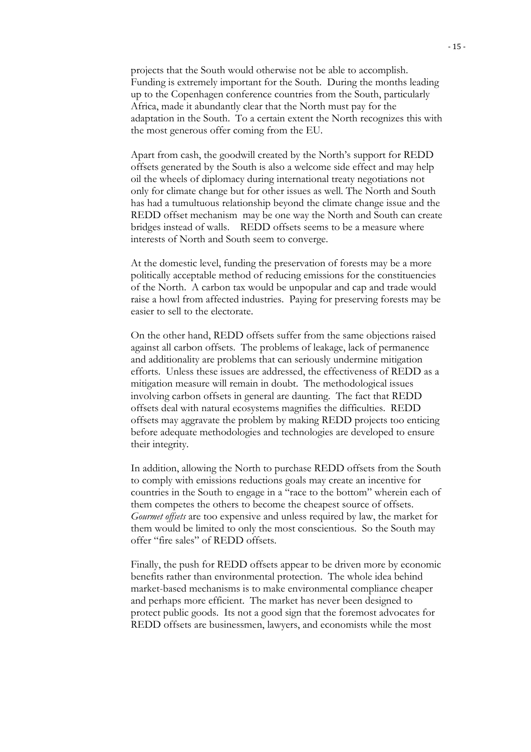projects that the South would otherwise not be able to accomplish. Funding is extremely important for the South. During the months leading up to the Copenhagen conference countries from the South, particularly Africa, made it abundantly clear that the North must pay for the adaptation in the South. To a certain extent the North recognizes this with the most generous offer coming from the EU.

Apart from cash, the goodwill created by the North's support for REDD offsets generated by the South is also a welcome side effect and may help oil the wheels of diplomacy during international treaty negotiations not only for climate change but for other issues as well. The North and South has had a tumultuous relationship beyond the climate change issue and the REDD offset mechanism may be one way the North and South can create bridges instead of walls. REDD offsets seems to be a measure where interests of North and South seem to converge.

At the domestic level, funding the preservation of forests may be a more politically acceptable method of reducing emissions for the constituencies of the North. A carbon tax would be unpopular and cap and trade would raise a howl from affected industries. Paying for preserving forests may be easier to sell to the electorate.

On the other hand, REDD offsets suffer from the same objections raised against all carbon offsets. The problems of leakage, lack of permanence and additionality are problems that can seriously undermine mitigation efforts. Unless these issues are addressed, the effectiveness of REDD as a mitigation measure will remain in doubt. The methodological issues involving carbon offsets in general are daunting. The fact that REDD offsets deal with natural ecosystems magnifies the difficulties. REDD offsets may aggravate the problem by making REDD projects too enticing before adequate methodologies and technologies are developed to ensure their integrity.

In addition, allowing the North to purchase REDD offsets from the South to comply with emissions reductions goals may create an incentive for countries in the South to engage in a "race to the bottom" wherein each of them competes the others to become the cheapest source of offsets. *Gourmet offsets* are too expensive and unless required by law, the market for them would be limited to only the most conscientious. So the South may offer "fire sales" of REDD offsets.

Finally, the push for REDD offsets appear to be driven more by economic benefits rather than environmental protection. The whole idea behind market-based mechanisms is to make environmental compliance cheaper and perhaps more efficient. The market has never been designed to protect public goods. Its not a good sign that the foremost advocates for REDD offsets are businessmen, lawyers, and economists while the most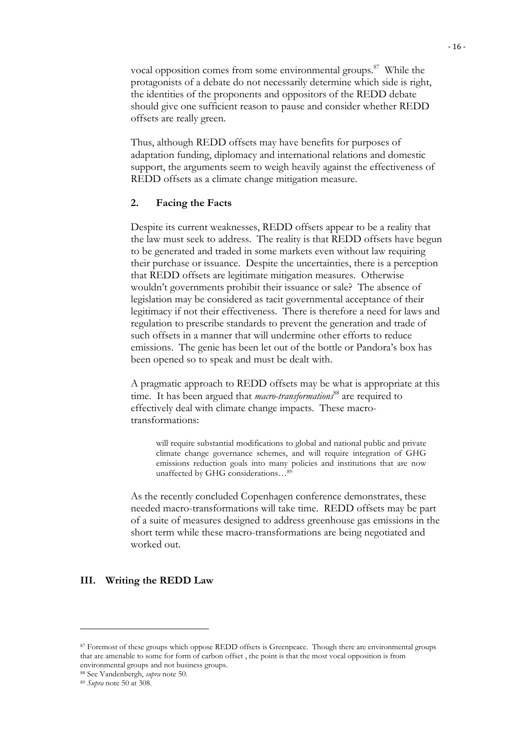vocal opposition comes from some environmental groups.<sup>87</sup> While the protagonists of a debate do not necessarily determine which side is right, the identities of the proponents and oppositors of the REDD debate should give one sufficient reason to pause and consider whether REDD offsets are really green.

Thus, although REDD offsets may have benefits for purposes of adaptation funding, diplomacy and international relations and domestic support, the arguments seem to weigh heavily against the effectiveness of REDD offsets as a climate change mitigation measure.

### **2. Facing the Facts**

Despite its current weaknesses, REDD offsets appear to be a reality that the law must seek to address. The reality is that REDD offsets have begun to be generated and traded in some markets even without law requiring their purchase or issuance. Despite the uncertainties, there is a perception that REDD offsets are legitimate mitigation measures. Otherwise wouldn't governments prohibit their issuance or sale? The absence of legislation may be considered as tacit governmental acceptance of their legitimacy if not their effectiveness. There is therefore a need for laws and regulation to prescribe standards to prevent the generation and trade of such offsets in a manner that will undermine other efforts to reduce emissions. The genie has been let out of the bottle or Pandora's box has been opened so to speak and must be dealt with.

A pragmatic approach to REDD offsets may be what is appropriate at this time. It has been argued that *macro-transformations*88 are required to effectively deal with climate change impacts. These macrotransformations:

will require substantial modifications to global and national public and private climate change governance schemes, and will require integration of GHG emissions reduction goals into many policies and institutions that are now unaffected by GHG considerations...<sup>89</sup>

As the recently concluded Copenhagen conference demonstrates, these needed macro-transformations will take time. REDD offsets may be part of a suite of measures designed to address greenhouse gas emissions in the short term while these macro-transformations are being negotiated and worked out.

#### **III. Writing the REDD Law**

<sup>87</sup> Foremost of these groups which oppose REDD offsets is Greenpeace. Though there are environmental groups that are amenable to some for form of carbon offset , the point is that the most vocal opposition is from environmental groups and not business groups.

<sup>88</sup> See Vandenbergh, *supra* note 50.

<sup>89</sup> *Supra* note 50 at 308.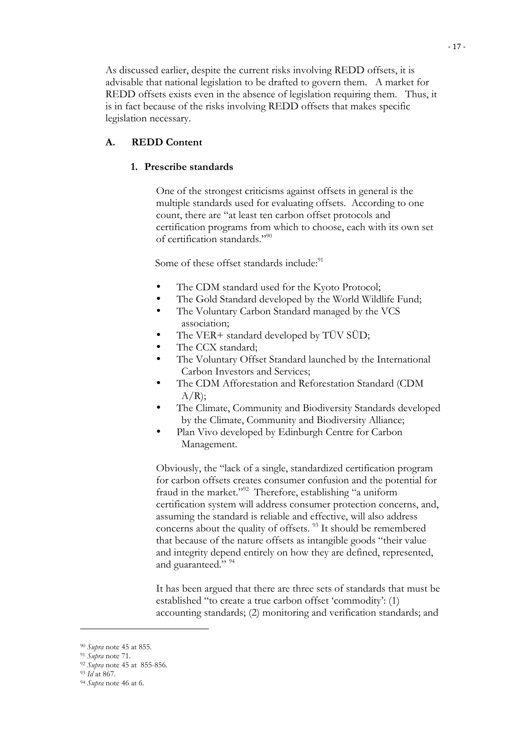As discussed earlier, despite the current risks involving REDD offsets, it is advisable that national legislation to be drafted to govern them. A market for REDD offsets exists even in the absence of legislation requiring them. Thus, it is in fact because of the risks involving REDD offsets that makes specific legislation necessary.

## **A. REDD Content**

#### **1. Prescribe standards**

One of the strongest criticisms against offsets in general is the multiple standards used for evaluating offsets. According to one count, there are "at least ten carbon offset protocols and certification programs from which to choose, each with its own set of certification standards."90

Some of these offset standards include:<sup>91</sup>

- The CDM standard used for the Kyoto Protocol;
- The Gold Standard developed by the World Wildlife Fund;
- The Voluntary Carbon Standard managed by the VCS association;
- The VER+ standard developed by TÜV SÜD;
- The CCX standard;
- The Voluntary Offset Standard launched by the International Carbon Investors and Services;
- The CDM Afforestation and Reforestation Standard (CDM  $A/R$ ;
- The Climate, Community and Biodiversity Standards developed by the Climate, Community and Biodiversity Alliance;
- Plan Vivo developed by Edinburgh Centre for Carbon Management.

Obviously, the "lack of a single, standardized certification program for carbon offsets creates consumer confusion and the potential for fraud in the market."92 Therefore, establishing "a uniform certification system will address consumer protection concerns, and, assuming the standard is reliable and effective, will also address concerns about the quality of offsets.<sup>93</sup> It should be remembered that because of the nature offsets as intangible goods "their value and integrity depend entirely on how they are defined, represented, and guaranteed." 94

It has been argued that there are three sets of standards that must be established "to create a true carbon offset 'commodity': (1) accounting standards; (2) monitoring and verification standards; and

<sup>90</sup> *Supra* note 45 at 855.

<sup>91</sup> *Supra* note 71.

<sup>92</sup> *Supra* note 45 at 855-856.

<sup>93</sup> *Id* at 867.

<sup>94</sup> *Supra* note 46 at 6.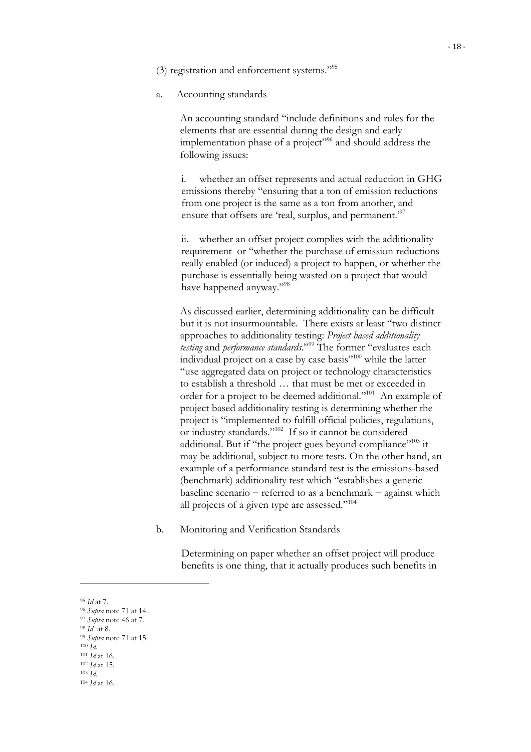(3) registration and enforcement systems."95

a. Accounting standards

An accounting standard "include definitions and rules for the elements that are essential during the design and early implementation phase of a project"<sup>96</sup> and should address the following issues:

i. whether an offset represents and actual reduction in GHG emissions thereby "ensuring that a ton of emission reductions from one project is the same as a ton from another, and ensure that offsets are 'real, surplus, and permanent.<sup>37</sup>

ii. whether an offset project complies with the additionality requirement or "whether the purchase of emission reductions really enabled (or induced) a project to happen, or whether the purchase is essentially being wasted on a project that would have happened anyway."<sup>98</sup>

As discussed earlier, determining additionality can be difficult but it is not insurmountable. There exists at least "two distinct approaches to additionality testing: *Project based additionality testing* and *performance standards*."99 The former "evaluates each individual project on a case by case basis"100 while the latter "use aggregated data on project or technology characteristics to establish a threshold … that must be met or exceeded in order for a project to be deemed additional."101 An example of project based additionality testing is determining whether the project is "implemented to fulfill official policies, regulations, or industry standards."102 If so it cannot be considered additional. But if "the project goes beyond compliance"<sup>103</sup> it may be additional, subject to more tests. On the other hand, an example of a performance standard test is the emissions-based (benchmark) additionality test which "establishes a generic baseline scenario − referred to as a benchmark − against which all projects of a given type are assessed."<sup>104</sup>

b. Monitoring and Verification Standards

Determining on paper whether an offset project will produce benefits is one thing, that it actually produces such benefits in

<sup>95</sup> *Id* at 7.

<sup>96</sup> *Supra* note 71 at 14.

<sup>97</sup> *Supra* note 46 at 7. <sup>98</sup> *Id* at 8.

<sup>99</sup> *Supra* note 71 at 15.

 $100 \, \tilde{Id}$ .

<sup>101</sup> *Id* at 16.

<sup>102</sup> *Id* at 15.

<sup>103</sup> *Id.* <sup>104</sup> *Id* at 16.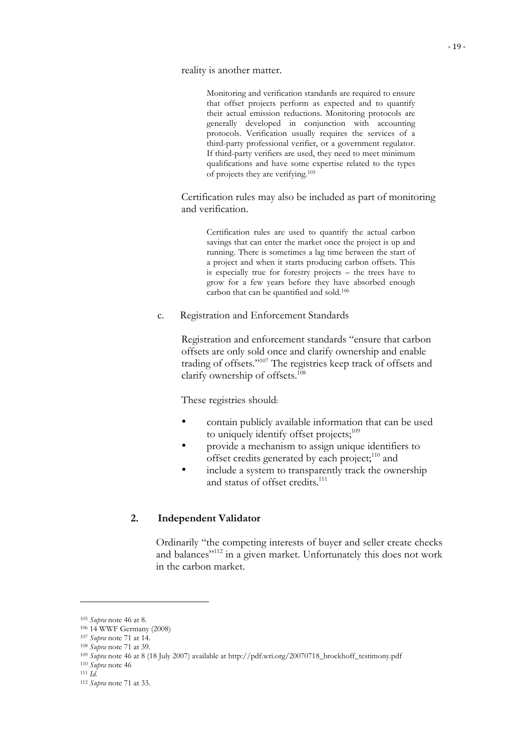reality is another matter.

Monitoring and verification standards are required to ensure that offset projects perform as expected and to quantify their actual emission reductions. Monitoring protocols are generally developed in conjunction with accounting protocols. Verification usually requires the services of a third-party professional verifier, or a government regulator. If third-party verifiers are used, they need to meet minimum qualifications and have some expertise related to the types of projects they are verifying.105

Certification rules may also be included as part of monitoring and verification.

Certification rules are used to quantify the actual carbon savings that can enter the market once the project is up and running. There is sometimes a lag time between the start of a project and when it starts producing carbon offsets. This is especially true for forestry projects – the trees have to grow for a few years before they have absorbed enough carbon that can be quantified and sold.106

c. Registration and Enforcement Standards

Registration and enforcement standards "ensure that carbon offsets are only sold once and clarify ownership and enable trading of offsets."107 The registries keep track of offsets and clarify ownership of offsets.<sup>108</sup>

These registries should:

- contain publicly available information that can be used to uniquely identify offset projects;<sup>109</sup>
- provide a mechanism to assign unique identifiers to offset credits generated by each project;<sup>110</sup> and
- include a system to transparently track the ownership and status of offset credits.<sup>111</sup>

## **2. Independent Validator**

Ordinarily "the competing interests of buyer and seller create checks and balances"<sup>112</sup> in a given market. Unfortunately this does not work in the carbon market.

<sup>105</sup> *Supra* note 46 at 8.

<sup>106 14</sup> WWF Germany (2008)

<sup>107</sup> *Supra* note 71 at 14.

<sup>108</sup> *Supra* note 71 at 39.

<sup>109</sup> *Supra* note 46 at 8 (18 July 2007) available at http://pdf.wri.org/20070718\_broekhoff\_testimony.pdf

<sup>110</sup> *Supra* note 46 111 *Id.*

<sup>112</sup> *Supra* note 71 at 33.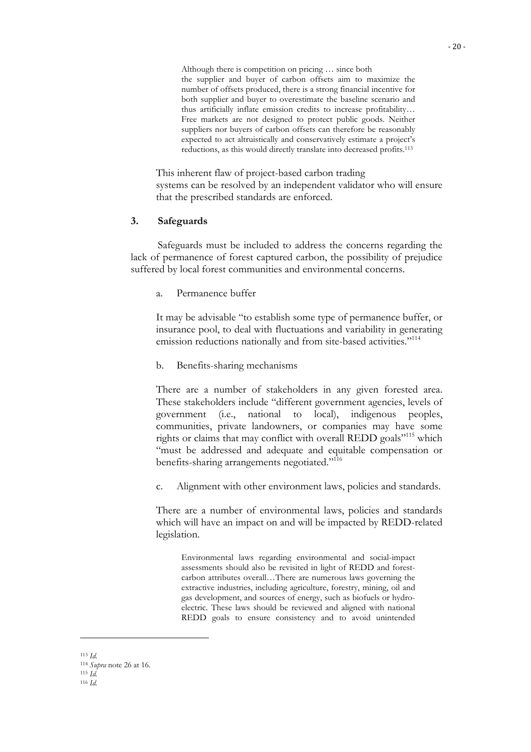Although there is competition on pricing … since both the supplier and buyer of carbon offsets aim to maximize the number of offsets produced, there is a strong financial incentive for both supplier and buyer to overestimate the baseline scenario and thus artificially inflate emission credits to increase profitability… Free markets are not designed to protect public goods. Neither suppliers nor buyers of carbon offsets can therefore be reasonably expected to act altruistically and conservatively estimate a project's reductions, as this would directly translate into decreased profits.113

This inherent flaw of project-based carbon trading systems can be resolved by an independent validator who will ensure that the prescribed standards are enforced.

#### **3. Safeguards**

Safeguards must be included to address the concerns regarding the lack of permanence of forest captured carbon, the possibility of prejudice suffered by local forest communities and environmental concerns.

a. Permanence buffer

It may be advisable "to establish some type of permanence buffer, or insurance pool, to deal with fluctuations and variability in generating emission reductions nationally and from site-based activities."<sup>114</sup>

b. Benefits-sharing mechanisms

There are a number of stakeholders in any given forested area. These stakeholders include "different government agencies, levels of government (i.e., national to local), indigenous peoples, communities, private landowners, or companies may have some rights or claims that may conflict with overall REDD goals"115 which "must be addressed and adequate and equitable compensation or benefits-sharing arrangements negotiated."<sup>116</sup>

c. Alignment with other environment laws, policies and standards.

There are a number of environmental laws, policies and standards which will have an impact on and will be impacted by REDD-related legislation.

Environmental laws regarding environmental and social-impact assessments should also be revisited in light of REDD and forestcarbon attributes overall…There are numerous laws governing the extractive industries, including agriculture, forestry, mining, oil and gas development, and sources of energy, such as biofuels or hydroelectric. These laws should be reviewed and aligned with national REDD goals to ensure consistency and to avoid unintended

<sup>113</sup> *Id.* <sup>114</sup> *Supra* note 26 at 16. <sup>115</sup> *Id.* <sup>116</sup> *Id.*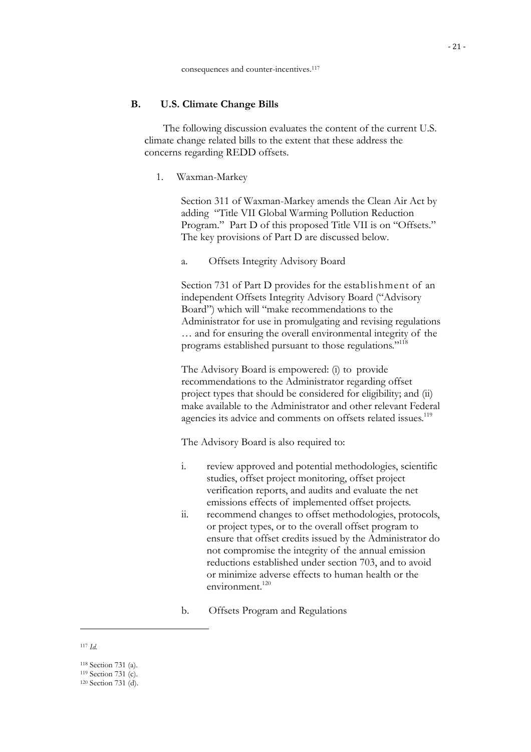### **B. U.S. Climate Change Bills**

The following discussion evaluates the content of the current U.S. climate change related bills to the extent that these address the concerns regarding REDD offsets.

1. Waxman-Markey

Section 311 of Waxman-Markey amends the Clean Air Act by adding "Title VII Global Warming Pollution Reduction Program." Part D of this proposed Title VII is on "Offsets." The key provisions of Part D are discussed below.

a. Offsets Integrity Advisory Board

Section 731 of Part D provides for the establishment of an independent Offsets Integrity Advisory Board ("Advisory Board") which will "make recommendations to the Administrator for use in promulgating and revising regulations … and for ensuring the overall environmental integrity of the programs established pursuant to those regulations."118

The Advisory Board is empowered: (i) to provide recommendations to the Administrator regarding offset project types that should be considered for eligibility; and (ii) make available to the Administrator and other relevant Federal agencies its advice and comments on offsets related issues.<sup>119</sup>

The Advisory Board is also required to:

- i. review approved and potential methodologies, scientific studies, offset project monitoring, offset project verification reports, and audits and evaluate the net emissions effects of implemented offset projects.
- ii. recommend changes to offset methodologies, protocols, or project types, or to the overall offset program to ensure that offset credits issued by the Administrator do not compromise the integrity of the annual emission reductions established under section 703, and to avoid or minimize adverse effects to human health or the environment.<sup>120</sup>
- b. Offsets Program and Regulations

<sup>117</sup> *Id.*

<sup>118</sup> Section 731 (a). 119 Section 731 (c). 120 Section 731 (d).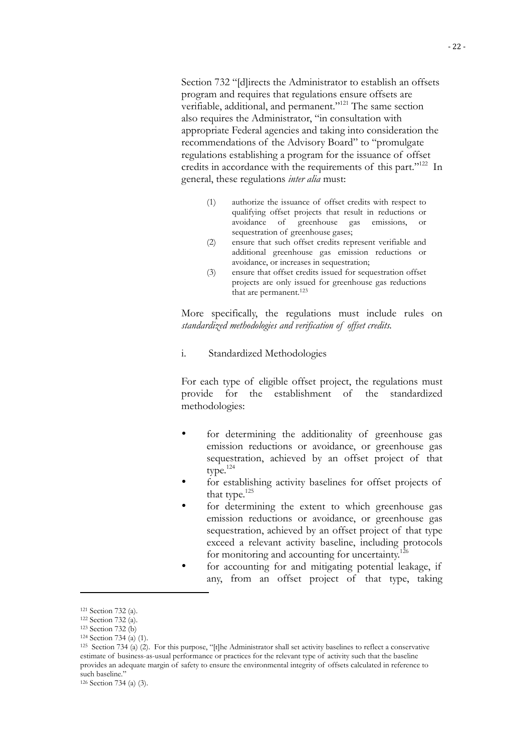Section 732 "[d]irects the Administrator to establish an offsets program and requires that regulations ensure offsets are verifiable, additional, and permanent."121 The same section also requires the Administrator, "in consultation with appropriate Federal agencies and taking into consideration the recommendations of the Advisory Board" to "promulgate regulations establishing a program for the issuance of offset credits in accordance with the requirements of this part."122 In general, these regulations *inter alia* must:

- (1) authorize the issuance of offset credits with respect to qualifying offset projects that result in reductions or avoidance of greenhouse gas emissions, or sequestration of greenhouse gases;
- (2) ensure that such offset credits represent verifiable and additional greenhouse gas emission reductions or avoidance, or increases in sequestration;
- (3) ensure that offset credits issued for sequestration offset projects are only issued for greenhouse gas reductions that are permanent.<sup>123</sup>

More specifically, the regulations must include rules on *standardized methodologies and verification of offset credits.*

i. Standardized Methodologies

For each type of eligible offset project, the regulations must provide for the establishment of the standardized methodologies:

- for determining the additionality of greenhouse gas emission reductions or avoidance, or greenhouse gas sequestration, achieved by an offset project of that type.124
- for establishing activity baselines for offset projects of that type. $125$
- for determining the extent to which greenhouse gas emission reductions or avoidance, or greenhouse gas sequestration, achieved by an offset project of that type exceed a relevant activity baseline, including protocols for monitoring and accounting for uncertainty.<sup>126</sup>
- for accounting for and mitigating potential leakage, if any, from an offset project of that type, taking

<sup>121</sup> Section 732 (a).

<sup>122</sup> Section 732 (a).

<sup>123</sup> Section 732 (b)

<sup>124</sup> Section 734 (a) (1).

<sup>125</sup> Section 734 (a) (2). For this purpose, "[t]he Administrator shall set activity baselines to reflect a conservative estimate of business-as-usual performance or practices for the relevant type of activity such that the baseline provides an adequate margin of safety to ensure the environmental integrity of offsets calculated in reference to such baseline."

<sup>126</sup> Section 734 (a) (3).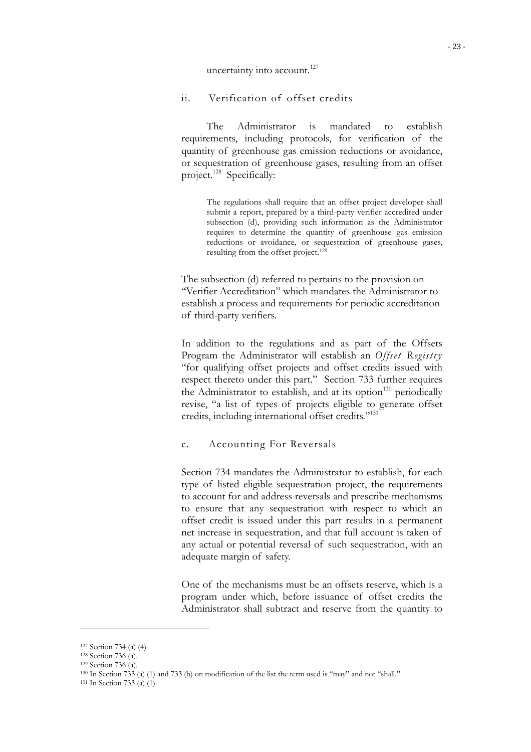uncertainty into account.<sup>127</sup>

## ii. Verification of offset credits

The Administrator is mandated to establish requirements, including protocols, for verification of the quantity of greenhouse gas emission reductions or avoidance, or sequestration of greenhouse gases, resulting from an offset project.<sup>128</sup> Specifically:

The regulations shall require that an offset project developer shall submit a report, prepared by a third-party verifier accredited under subsection (d), providing such information as the Administrator requires to determine the quantity of greenhouse gas emission reductions or avoidance, or sequestration of greenhouse gases, resulting from the offset project.129

The subsection (d) referred to pertains to the provision on "Verifier Accreditation" which mandates the Administrator to establish a process and requirements for periodic accreditation of third-party verifiers.

In addition to the regulations and as part of the Offsets Program the Administrator will establish an *Offset Registry* "for qualifying offset projects and offset credits issued with respect thereto under this part." Section 733 further requires the Administrator to establish, and at its option<sup>130</sup> periodically revise, "a list of types of projects eligible to generate offset credits, including international offset credits."131

## c. Accounting For Reversals

Section 734 mandates the Administrator to establish, for each type of listed eligible sequestration project, the requirements to account for and address reversals and prescribe mechanisms to ensure that any sequestration with respect to which an offset credit is issued under this part results in a permanent net increase in sequestration, and that full account is taken of any actual or potential reversal of such sequestration, with an adequate margin of safety.

One of the mechanisms must be an offsets reserve, which is a program under which, before issuance of offset credits the Administrator shall subtract and reserve from the quantity to

<sup>127</sup> Section 734 (a) (4)

<sup>128</sup> Section 736 (a).

<sup>129</sup> Section 736 (a).

<sup>130</sup> In Section 733 (a) (1) and 733 (b) on modification of the list the term used is "may" and not "shall."

<sup>131</sup> In Section 733 (a) (1).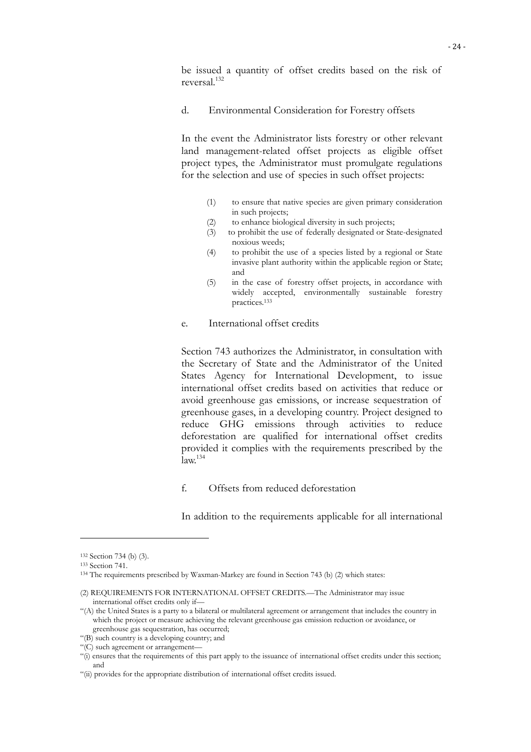be issued a quantity of offset credits based on the risk of reversal.132

#### d. Environmental Consideration for Forestry offsets

In the event the Administrator lists forestry or other relevant land management-related offset projects as eligible offset project types, the Administrator must promulgate regulations for the selection and use of species in such offset projects:

- (1) to ensure that native species are given primary consideration in such projects;
- (2) to enhance biological diversity in such projects;
- (3) to prohibit the use of federally designated or State-designated noxious weeds;
- (4) to prohibit the use of a species listed by a regional or State invasive plant authority within the applicable region or State; and
- (5) in the case of forestry offset projects, in accordance with widely accepted, environmentally sustainable forestry practices.133
- e. International offset credits

Section 743 authorizes the Administrator, in consultation with the Secretary of State and the Administrator of the United States Agency for International Development, to issue international offset credits based on activities that reduce or avoid greenhouse gas emissions, or increase sequestration of greenhouse gases, in a developing country. Project designed to reduce GHG emissions through activities to reduce deforestation are qualified for international offset credits provided it complies with the requirements prescribed by the  $\mathrm{law}$ <sup>134</sup>

f. Offsets from reduced deforestation

In addition to the requirements applicable for all international

<sup>132</sup> Section 734 (b) (3).

<sup>133</sup> Section 741.

<sup>134</sup> The requirements prescribed by Waxman-Markey are found in Section 743 (b) (2) which states:

<sup>(2)</sup> REQUIREMENTS FOR INTERNATIONAL OFFSET CREDITS.—The Administrator may issue international offset credits only if—

<sup>&</sup>quot;(A) the United States is a party to a bilateral or multilateral agreement or arrangement that includes the country in which the project or measure achieving the relevant greenhouse gas emission reduction or avoidance, or greenhouse gas sequestration, has occurred;

<sup>&</sup>quot;(B) such country is a developing country; and

<sup>&</sup>quot;(C) such agreement or arrangement—

<sup>&</sup>quot;(i) ensures that the requirements of this part apply to the issuance of international offset credits under this section; and

<sup>&</sup>quot;(ii) provides for the appropriate distribution of international offset credits issued.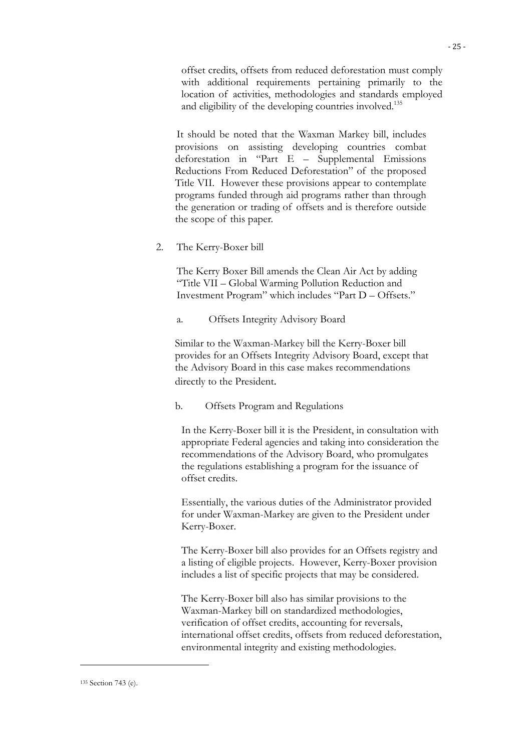offset credits, offsets from reduced deforestation must comply with additional requirements pertaining primarily to the location of activities, methodologies and standards employed and eligibility of the developing countries involved.<sup>135</sup>

It should be noted that the Waxman Markey bill, includes provisions on assisting developing countries combat deforestation in "Part E – Supplemental Emissions Reductions From Reduced Deforestation" of the proposed Title VII. However these provisions appear to contemplate programs funded through aid programs rather than through the generation or trading of offsets and is therefore outside the scope of this paper.

2. The Kerry-Boxer bill

The Kerry Boxer Bill amends the Clean Air Act by adding "Title VII – Global Warming Pollution Reduction and Investment Program" which includes "Part D – Offsets."

a. Offsets Integrity Advisory Board

Similar to the Waxman-Markey bill the Kerry-Boxer bill provides for an Offsets Integrity Advisory Board, except that the Advisory Board in this case makes recommendations directly to the President.

#### b. Offsets Program and Regulations

In the Kerry-Boxer bill it is the President, in consultation with appropriate Federal agencies and taking into consideration the recommendations of the Advisory Board, who promulgates the regulations establishing a program for the issuance of offset credits.

Essentially, the various duties of the Administrator provided for under Waxman-Markey are given to the President under Kerry-Boxer.

The Kerry-Boxer bill also provides for an Offsets registry and a listing of eligible projects. However, Kerry-Boxer provision includes a list of specific projects that may be considered.

The Kerry-Boxer bill also has similar provisions to the Waxman-Markey bill on standardized methodologies, verification of offset credits, accounting for reversals, international offset credits, offsets from reduced deforestation, environmental integrity and existing methodologies.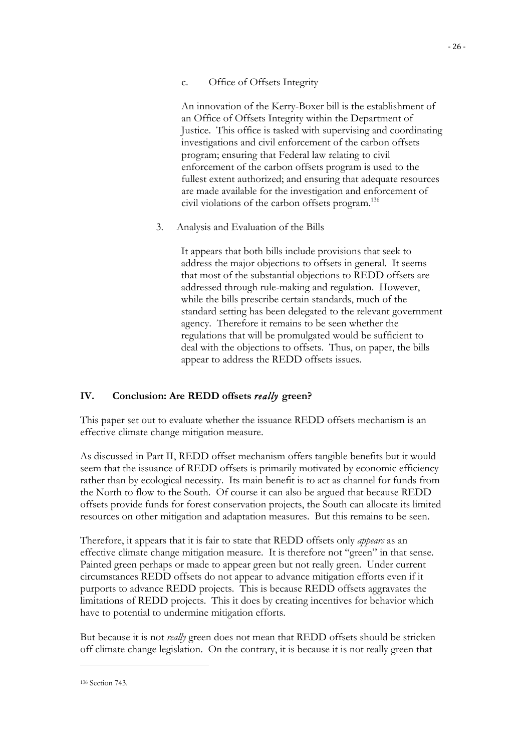## c. Office of Offsets Integrity

An innovation of the Kerry-Boxer bill is the establishment of an Office of Offsets Integrity within the Department of Justice. This office is tasked with supervising and coordinating investigations and civil enforcement of the carbon offsets program; ensuring that Federal law relating to civil enforcement of the carbon offsets program is used to the fullest extent authorized; and ensuring that adequate resources are made available for the investigation and enforcement of civil violations of the carbon offsets program.136

3. Analysis and Evaluation of the Bills

It appears that both bills include provisions that seek to address the major objections to offsets in general. It seems that most of the substantial objections to REDD offsets are addressed through rule-making and regulation. However, while the bills prescribe certain standards, much of the standard setting has been delegated to the relevant government agency. Therefore it remains to be seen whether the regulations that will be promulgated would be sufficient to deal with the objections to offsets. Thus, on paper, the bills appear to address the REDD offsets issues.

## **IV. Conclusion: Are REDD offsets** *really* **green?**

This paper set out to evaluate whether the issuance REDD offsets mechanism is an effective climate change mitigation measure.

As discussed in Part II, REDD offset mechanism offers tangible benefits but it would seem that the issuance of REDD offsets is primarily motivated by economic efficiency rather than by ecological necessity. Its main benefit is to act as channel for funds from the North to flow to the South. Of course it can also be argued that because REDD offsets provide funds for forest conservation projects, the South can allocate its limited resources on other mitigation and adaptation measures. But this remains to be seen.

Therefore, it appears that it is fair to state that REDD offsets only *appears* as an effective climate change mitigation measure. It is therefore not "green" in that sense. Painted green perhaps or made to appear green but not really green. Under current circumstances REDD offsets do not appear to advance mitigation efforts even if it purports to advance REDD projects. This is because REDD offsets aggravates the limitations of REDD projects. This it does by creating incentives for behavior which have to potential to undermine mitigation efforts.

But because it is not *really* green does not mean that REDD offsets should be stricken off climate change legislation. On the contrary, it is because it is not really green that

#### 136 Section 743.